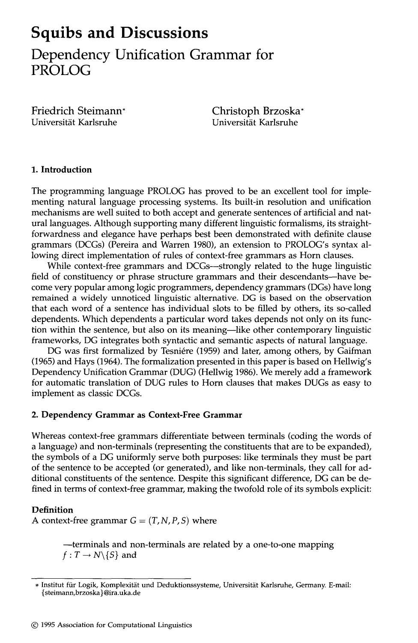# **Squibs and Discussions Dependency Unification Grammar for PROLOG**

Friedrich Steimann\* Universität Karlsruhe

Christoph Brzoska\* Universität Karlsruhe

#### **1. Introduction**

The programming language PROLOG has proved to be an excellent tool for implementing natural language processing systems. Its built-in resolution and unification mechanisms are well suited to both accept and generate sentences of artificial and natural languages. Although supporting many different linguistic formalisms, its straightforwardness and elegance have perhaps best been demonstrated with definite clause grammars (DCGs) (Pereira and Warren 1980), an extension to PROLOG's syntax allowing direct implementation of rules of context-free grammars as Horn clauses.

While context-free grammars and DCGs--strongly related to the huge linguistic field of constituency or phrase structure grammars and their descendants--have become very popular among logic programmers, dependency grammars (DGs) have long remained a widely unnoticed linguistic alternative. DG is based on the observation that each word of a sentence has individual slots to be filled by others, its so-called dependents. Which dependents a particular word takes depends not only on its function within the sentence, but also on its meaning--like other contemporary linguistic frameworks, DG integrates both syntactic and semantic aspects of natural language.

DG was first formalized by Tesniére (1959) and later, among others, by Gaifman (1965) and Hays (1964). The formalization presented in this paper is based on Hellwig's Dependency Unification Grammar (DUG) (Hellwig 1986). We merely add a framework for automatic translation of DUG rules to Horn clauses that makes DUGs as easy to implement as classic DCGs.

#### **2. Dependency Grammar as Context-Free Grammar**

Whereas context-free grammars differentiate between terminals (coding the words of a language) and non-terminals (representing the constituents that are to be expanded), the symbols of a DG uniformly serve both purposes: like terminals they must be part of the sentence to be accepted (or generated), and like non-terminals, they call for additional constituents of the sentence. Despite this significant difference, DG can be defined in terms of context-free grammar, making the twofold role of its symbols explicit:

#### **Definition**

A context-free grammar  $G = (T, N, P, S)$  where

--terminals and non-terminals are related by a one-to-one mapping  $f: T \rightarrow N\{S\}$  and

<sup>\*</sup> Institut für Logik, Komplexität und Deduktionssysteme, Universität Karlsruhe, Germany. E-mail: {steimann,brzoska } @ira.uka.de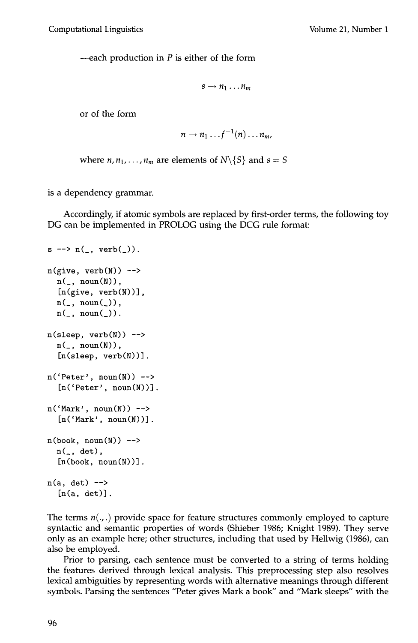—each production in  $P$  is either of the form

$$
s\to n_1\ldots n_m
$$

or of the form

$$
n \to n_1 \dots f^{-1}(n) \dots n_m,
$$

where  $n, n_1, \ldots, n_m$  are elements of  $N\setminus\{S\}$  and  $s = S$ 

is a dependency grammar.

Accordingly, if atomic symbols are replaced by first-order terms, the following toy DG can be implemented in PROLOG using the DCG rule format:

```
s \rightarrow n(, verb().
n(give, verb(N)) \rightarrown(\_,\ \text{noun}(N)),[n(give, verb(N))], 
  n(\_,\ noun(\_)),n(\_, noun(\_)).
n(sleep, verb(N)) -->
  n(\_,\ \text{noun}(N)),[n(\text{sleep}, \text{verb}(N))].n('Peter', noun(N)) \rightarrow[n('Peter', noun(N))].
n('Mark', noun(N)) \rightarrow[n('Mark', noun(N))].n(\text{book}, \text{noun}(N)) \rightarrown(, det),
   [n(\text{book}, \text{noun}(N))].
n(a, det) -->
   [n(a, det)].
```
The terms  $n(\cdot, \cdot)$  provide space for feature structures commonly employed to capture syntactic and semantic properties of words (Shieber 1986; Knight 1989). They serve only as an example here; other structures, including that used by Hellwig (1986), can also be employed.

Prior to parsing, each sentence must be converted to a string of terms holding the features derived through lexical analysis. This preprocessing step also resolves lexical ambiguities by representing words with alternative meanings through different symbols. Parsing the sentences "Peter gives Mark a book" and "Mark sleeps" with the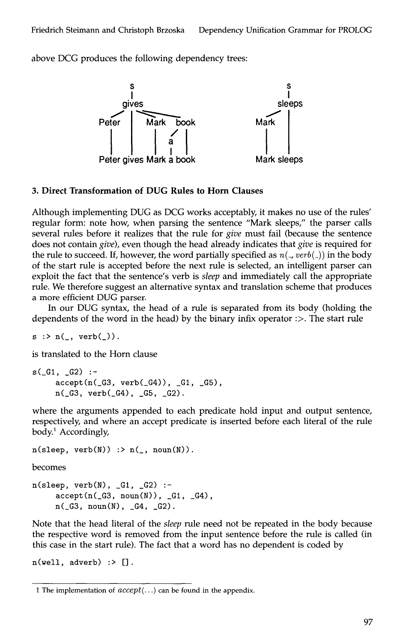above DCG produces the following dependency trees:



#### **3. Direct Transformation of DUG Rules to Horn Clauses**

Although implementing DUG as DCG works acceptably, it makes no use of the rules' regular form: note how, when parsing the sentence "Mark sleeps," the parser calls several rules before it realizes that the rule for *give* must fail (because the sentence does not contain *give),* even though the head already indicates that *give* is required for the rule to succeed. If, however, the word partially specified as  $n($ ,  $verb($ )) in the body of the start rule is accepted before the next rule is selected, an intelligent parser can exploit the fact that the sentence's verb is *sleep* and immediately call the appropriate rule. We therefore suggest an alternative syntax and translation scheme that produces a more efficient DUG parser.

In our DUG syntax, the head of a rule is separated from its body (holding the dependents of the word in the head) by the binary infix operator  $\therefore$ . The start rule

 $s$  : >  $n(\_, \verb|verb|()|)$ .

is translated to the Horn clause

```
s(G1, _G2) :-
    accept(n(_G3, verb(_G4)), _G1, _G5),n(.G3, verb(.G4), .G5, .G2).
```
where the arguments appended to each predicate hold input and output sentence, respectively, and where an accept predicate is inserted before each literal of the rule body.<sup>1</sup> Accordingly,

```
n(sleep, verb(N)) :> n(\_, \text{noun}(N)).
```
becomes

 $n(sleep, verb(N), _G1, _G2)$  : $accept(n(\_G3, noun(N)), \_G1, \_G4)$ ,  $n(\_G3, \text{noun}(N), \_G4, \_G2)$ .

Note that the head literal of the *sleep* rule need not be repeated in the body because the respective word is removed from the input sentence before the rule is called (in this case in the start rule). The fact that a word has no dependent is coded by

 $n(well, adverb)$  :> [].

<sup>1</sup> The implementation of *accept(...)* can be found in the appendix.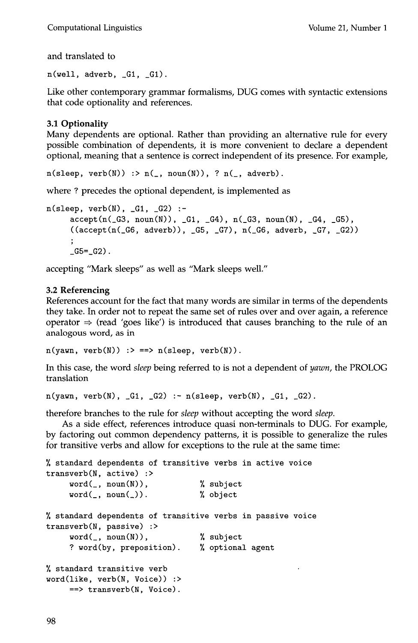Computational Linguistics Volume 21, Number 1

and translated to

 $n(well, adverb, G1, G1).$ 

Like other contemporary grammar formalisms, DUG comes with syntactic extensions that code optionality and references.

### 3.1 Optionality

Many dependents are optional. Rather than providing an alternative rule for every possible combination of dependents, it is more convenient to declare a dependent optional, meaning that a sentence is correct independent of its presence. For example,

 $n(sleep, verb(N))$  :>  $n(\_, noun(N)), ? n(\_, adverb).$ 

where ? precedes the optional dependent, is implemented as

```
n(sleep, verb(N), G1, G2) :-
     accept(n(.G3, noun(N)), .G1, .G4), n(.G3, noun(N), .G4, .G5),((accept(n(_G6, adverb)), _G5, _G7), n(_G6, adverb, _G7, _G2))\ddot{\phantom{1}}_G5 =_G2).
```
accepting "Mark sleeps" as well as "Mark sleeps well."

#### **3.2 Referencing**

References account for the fact that many words are similar in terms of the dependents they take. In order not to repeat the same set of rules over and over again, a reference operator  $\Rightarrow$  (read 'goes like') is introduced that causes branching to the rule of an analogous word, as in

 $n(yawn, verb(N))$  :> ==>  $n(sleep, verb(N))$ .

In this case, the word *sleep* being referred to is not a dependent of *yawn,* the PROLOG translation

 $n(yawn, verb(N), G1, G2) := n(sleep, verb(N), G1, G2).$ 

therefore branches to the rule for *sleep* without accepting the word *sleep.* 

As a side effect, references introduce quasi non-terminals to DUG. For example, by factoring out common dependency patterns, it is possible to generalize the rules for transitive verbs and allow for exceptions to the rule at the same time:

```
standard dependents of transitive verbs in active voice 
transverb(N, active) :> 
    word(_, noun(N)), ~ subject 
    word(_, noun(_)). ~ object 
standard dependents of transitive verbs in passive voice 
transverb(N, passive) :> 
    word(\_,\ noun(N)), % subject
    ? word(by, preposition). ~ optional agent 
% standard transitive verb
word(like, verb(N, Voice)) :> 
    ==> transverb(N, Voice).
```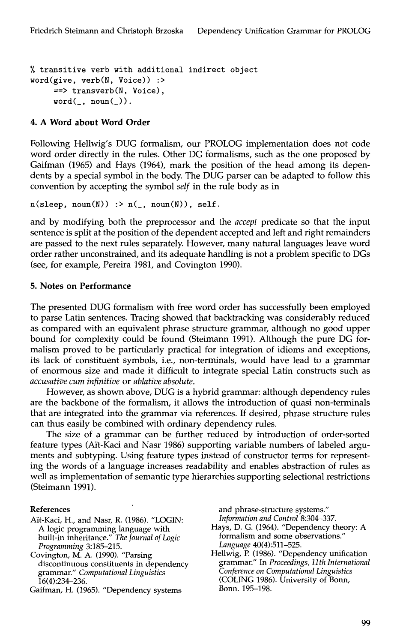transitive verb with additional indirect object word(give, verb(N, Voice)) :> ==> transverb(N, Voice),  $word(\_, noun(\_)).$ 

#### **4. A Word about Word Order**

Following Hellwig's DUG formalism, our PROLOG implementation does not code word order directly in the rules. Other DG formalisms, such as the one proposed by Gaifman (1965) and Hays (1964), mark the position of the head among its dependents by a special symbol in the body. The DUG parser can be adapted to follow this convention by accepting the symbol *self* in the rule body as in

 $n(sleep, noun(N))$  :>  $n(\_, noun(N))$ , self.

and by modifying both the preprocessor and the *accept* predicate so that the input sentence is split at the position of the dependent accepted and left and right remainders are passed to the next rules separately. However, many natural languages leave word order rather unconstrained, and its adequate handling is not a problem specific to DGs (see, for example, Pereira 1981, and Covington 1990).

#### **5. Notes on Performance**

The presented DUG formalism with free word order has successfully been employed to parse Latin sentences. Tracing showed that backtracking was considerably reduced as compared with an equivalent phrase structure grammar, although no good upper bound for complexity could be found (Steimann 1991). Although the pure DG formalism proved to be particularly practical for integration of idioms and exceptions, its lack of constituent symbols, i.e., non-terminals, would have lead to a grammar of enormous size and made it difficult to integrate special Latin constructs such as *accusative cum infinitive* or *ablative absolute.* 

However, as shown above, DUG is a hybrid grammar: although dependency rules are the backbone of the formalism, it allows the introduction of quasi non-terminals that are integrated into the grammar via references. If desired, phrase structure rules can thus easily be combined with ordinary dependency rules.

The size of a grammar can be further reduced by introduction of order-sorted feature types (Ait-Kaci and Nasr 1986) supporting variable numbers of labeled arguments and subtyping. Using feature types instead of constructor terms for representing the words of a language increases readability and enables abstraction of rules as well as implementation of semantic type hierarchies supporting selectional restrictions (Steimann 1991).

#### **References**

- Ait-Kaci, H., and Nasr, R. (1986). "LOGIN: A logic programming language with built-in inheritance." *The Journal of Logic Programming* 3:185-215.
- Covington, M. A. (1990). "Parsing discontinuous constituents in dependency grammar." *Computational Linguistics*  16(4):234-236.
- Gaifman, H. (1965). "Dependency systems

and phrase-structure systems." *Information and Control* 8:304-337.

- Hays, D. G. (1964). "Dependency theory: A formalism and some observations." *Language* 40(4):511-525.
- Hellwig, P. (1986). "Dependency unification grammar." In *Proceedings, llth International Conference on Computational Linguistics*  (COLING 1986). University of Bonn, Bonn. 195-198.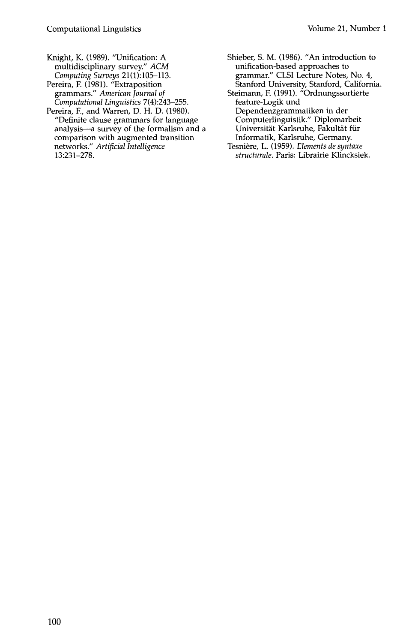- Knight, K. (1989). "Unification: A multidisciplinary survey." *ACM Computing Surveys* 21(1):105-113.
- Pereira, F. (1981). "Extraposition grammars." *American Journal of Computational Linguistics* 7(4):243-255.
- Pereira, E, and Warren, D. H. D. (1980). "Definite clause grammars for language analysis--a survey of the formalism and a comparison with augmented transition networks." *Artificial Intelligence*  13:231-278.
- Shieber, S. M. (1986). "An introduction to unification-based approaches to grammar." CLSI Lecture Notes, No. 4, Stanford University, Stanford, California.
- Steimann, E (1991). "Ordnungssortierte feature-Logik und Dependenzgrammatiken in der Computerlinguistik." Diplomarbeit Universität Karlsruhe, Fakultät für Informatik, Karlsruhe, Germany.
- Tesnière, L. (1959). *Elements de syntaxe structurale.* Paris: Librairie Klincksiek.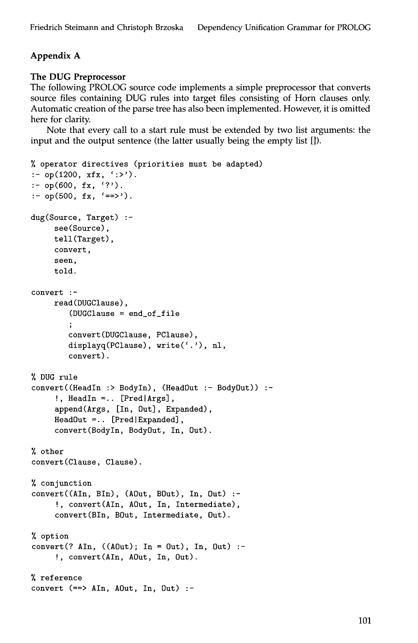## Appendix A

#### The DUG **Preprocessor**

The following PROLOG source code implements a simple preprocessor that converts source files containing DUG rules into target files consisting of Horn clauses only. Automatic creation of the parse tree has also been implemented. However, it is omitted here for clarity.

Note that every call to a start rule must be extended by two list arguments: the input and the output sentence (the latter usually being the empty list []).

```
operator directives (priorities must be adapted) 
: op(1200, xfx, ':>').
: op(600, fx, '?').
:- op(500, fx, '==').
dug(Source, Target) :-
     see(Source), 
     tell(Target), 
     convert, 
     seen, 
     told. 
convert :- 
     read(DUGClause), 
        (DUGClause = end_of_file 
        convert(DUGClause, PClause), 
        displayq(PClause), write(','), nl,
        convert). 
DUG rule 
convert((HeadIn :> BodyIn), (HeadOut :- BodyOut)) :-
     !, HeadIn =.. [Pred|Args],
     append(Args, [In, Out], Expanded), 
     HeadOut =.. [Pred|Expanded],
     convert(BodyIn, BodyOut, In, Out). 
% other
convert(Clause, Clause). 
% conjunction 
convert((AIn, BIn), (AOut, BOut), In, Out) :-
     !, convert(AIn, AOut, In, Intermediate), 
     convert(Bin, BOut, Intermediate, Out). 
% option
convert(? AIn, ((A0ut); In = 0ut), In, Out):
     !, convert(AIn, AOut, In, Out). 
% reference
convert (==> AIn, AOut, In, Out) :-
```